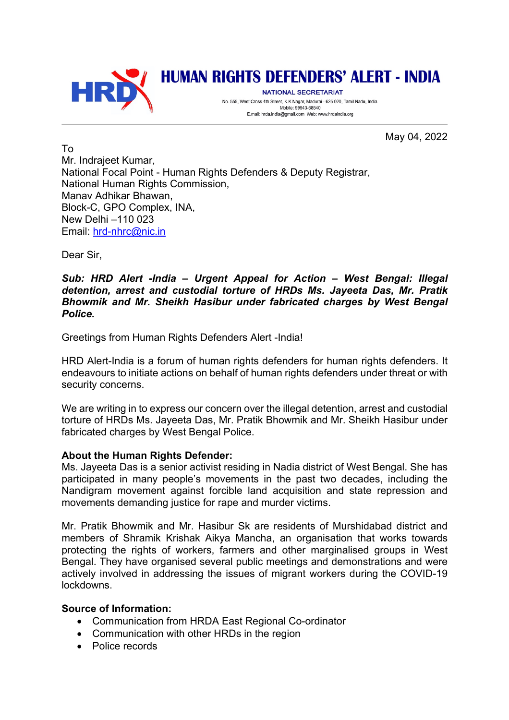

# **HUMAN RIGHTS DEFENDERS' ALERT - INDIA**

NATIONAL SECRETARIAT No. 555, West Cross 4th Street, K.K.Nagar, Madurai - 625 020, Tamil Nadu, India. Mobile: 99943-68540 E.mail: hrda.india@gmail.com Web: www.hrdaindia.org

May 04, 2022

To Mr. Indrajeet Kumar, National Focal Point - Human Rights Defenders & Deputy Registrar, National Human Rights Commission. Manav Adhikar Bhawan, Block-C, GPO Complex, INA, New Delhi –110 023 Email: hrd-nhrc@nic.in

Dear Sir,

## *Sub: HRD Alert -India – Urgent Appeal for Action – West Bengal: Illegal detention, arrest and custodial torture of HRDs Ms. Jayeeta Das, Mr. Pratik Bhowmik and Mr. Sheikh Hasibur under fabricated charges by West Bengal Police.*

Greetings from Human Rights Defenders Alert -India!

HRD Alert-India is a forum of human rights defenders for human rights defenders. It endeavours to initiate actions on behalf of human rights defenders under threat or with security concerns.

We are writing in to express our concern over the illegal detention, arrest and custodial torture of HRDs Ms. Jayeeta Das, Mr. Pratik Bhowmik and Mr. Sheikh Hasibur under fabricated charges by West Bengal Police.

## **About the Human Rights Defender:**

Ms. Jayeeta Das is a senior activist residing in Nadia district of West Bengal. She has participated in many people's movements in the past two decades, including the Nandigram movement against forcible land acquisition and state repression and movements demanding justice for rape and murder victims.

Mr. Pratik Bhowmik and Mr. Hasibur Sk are residents of Murshidabad district and members of Shramik Krishak Aikya Mancha, an organisation that works towards protecting the rights of workers, farmers and other marginalised groups in West Bengal. They have organised several public meetings and demonstrations and were actively involved in addressing the issues of migrant workers during the COVID-19 lockdowns.

## **Source of Information:**

- Communication from HRDA East Regional Co-ordinator
- Communication with other HRDs in the region
- Police records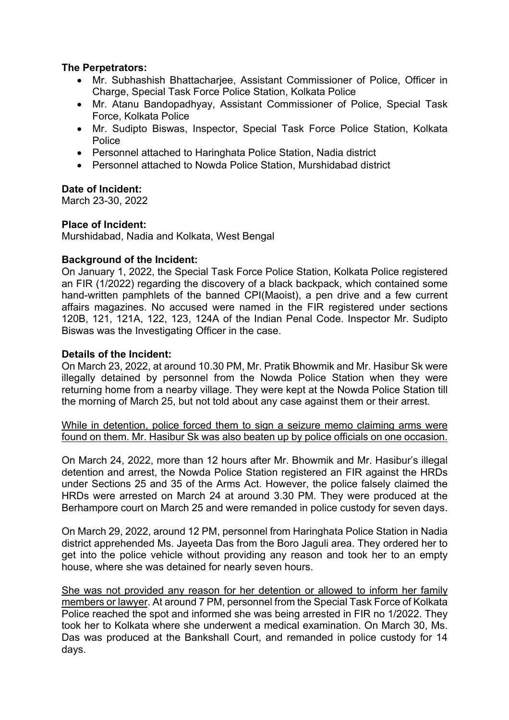## **The Perpetrators:**

- Mr. Subhashish Bhattacharjee, Assistant Commissioner of Police, Officer in Charge, Special Task Force Police Station, Kolkata Police
- Mr. Atanu Bandopadhyay, Assistant Commissioner of Police, Special Task Force, Kolkata Police
- Mr. Sudipto Biswas, Inspector, Special Task Force Police Station, Kolkata Police
- Personnel attached to Haringhata Police Station, Nadia district
- Personnel attached to Nowda Police Station, Murshidabad district

## **Date of Incident:**

March 23-30, 2022

## **Place of Incident:**

Murshidabad, Nadia and Kolkata, West Bengal

#### **Background of the Incident:**

On January 1, 2022, the Special Task Force Police Station, Kolkata Police registered an FIR (1/2022) regarding the discovery of a black backpack, which contained some hand-written pamphlets of the banned CPI(Maoist), a pen drive and a few current affairs magazines. No accused were named in the FIR registered under sections 120B, 121, 121A, 122, 123, 124A of the Indian Penal Code. Inspector Mr. Sudipto Biswas was the Investigating Officer in the case.

## **Details of the Incident:**

On March 23, 2022, at around 10.30 PM, Mr. Pratik Bhowmik and Mr. Hasibur Sk were illegally detained by personnel from the Nowda Police Station when they were returning home from a nearby village. They were kept at the Nowda Police Station till the morning of March 25, but not told about any case against them or their arrest.

While in detention, police forced them to sign a seizure memo claiming arms were found on them. Mr. Hasibur Sk was also beaten up by police officials on one occasion.

On March 24, 2022, more than 12 hours after Mr. Bhowmik and Mr. Hasibur's illegal detention and arrest, the Nowda Police Station registered an FIR against the HRDs under Sections 25 and 35 of the Arms Act. However, the police falsely claimed the HRDs were arrested on March 24 at around 3.30 PM. They were produced at the Berhampore court on March 25 and were remanded in police custody for seven days.

On March 29, 2022, around 12 PM, personnel from Haringhata Police Station in Nadia district apprehended Ms. Jayeeta Das from the Boro Jaguli area. They ordered her to get into the police vehicle without providing any reason and took her to an empty house, where she was detained for nearly seven hours.

She was not provided any reason for her detention or allowed to inform her family members or lawyer. At around 7 PM, personnel from the Special Task Force of Kolkata Police reached the spot and informed she was being arrested in FIR no 1/2022. They took her to Kolkata where she underwent a medical examination. On March 30, Ms. Das was produced at the Bankshall Court, and remanded in police custody for 14 days.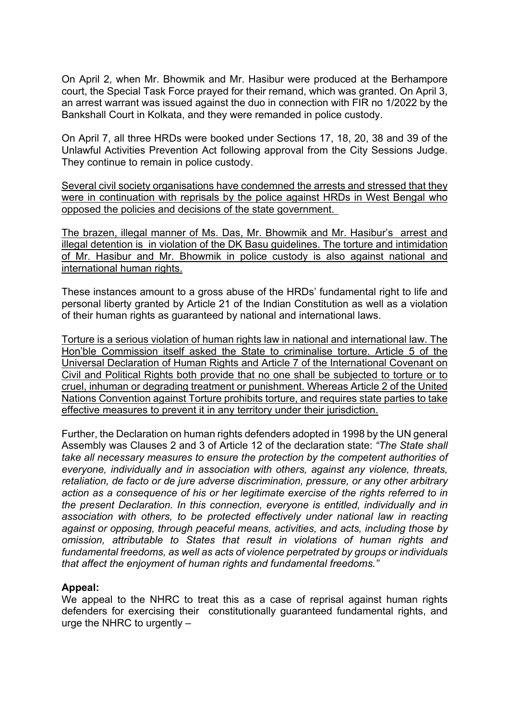On April 2, when Mr. Bhowmik and Mr. Hasibur were produced at the Berhampore court, the Special Task Force prayed for their remand, which was granted. On April 3, an arrest warrant was issued against the duo in connection with FIR no 1/2022 by the Bankshall Court in Kolkata, and they were remanded in police custody.

On April 7, all three HRDs were booked under Sections 17, 18, 20, 38 and 39 of the Unlawful Activities Prevention Act following approval from the City Sessions Judge. They continue to remain in police custody.

Several civil society organisations have condemned the arrests and stressed that they were in continuation with reprisals by the police against HRDs in West Bengal who opposed the policies and decisions of the state government.

The brazen, illegal manner of Ms. Das, Mr. Bhowmik and Mr. Hasibur's arrest and illegal detention is in violation of the DK Basu guidelines. The torture and intimidation of Mr. Hasibur and Mr. Bhowmik in police custody is also against national and international human rights.

These instances amount to a gross abuse of the HRDs' fundamental right to life and personal liberty granted by Article 21 of the Indian Constitution as well as a violation of their human rights as guaranteed by national and international laws.

Torture is a serious violation of human rights law in national and international law. The Hon'ble Commission itself asked the State to criminalise torture. Article 5 of the Universal Declaration of Human Rights and Article 7 of the International Covenant on Civil and Political Rights both provide that no one shall be subjected to torture or to cruel, inhuman or degrading treatment or punishment. Whereas Article 2 of the United Nations Convention against Torture prohibits torture, and requires state parties to take effective measures to prevent it in any territory under their jurisdiction.

Further, the Declaration on human rights defenders adopted in 1998 by the UN general Assembly was Clauses 2 and 3 of Article 12 of the declaration state: *"The State shall take all necessary measures to ensure the protection by the competent authorities of everyone, individually and in association with others, against any violence, threats, retaliation, de facto or de jure adverse discrimination, pressure, or any other arbitrary action as a consequence of his or her legitimate exercise of the rights referred to in the present Declaration. In this connection, everyone is entitled, individually and in association with others, to be protected effectively under national law in reacting against or opposing, through peaceful means, activities, and acts, including those by omission, attributable to States that result in violations of human rights and fundamental freedoms, as well as acts of violence perpetrated by groups or individuals that affect the enjoyment of human rights and fundamental freedoms."*

## **Appeal:**

We appeal to the NHRC to treat this as a case of reprisal against human rights defenders for exercising their constitutionally guaranteed fundamental rights, and urge the NHRC to urgently –